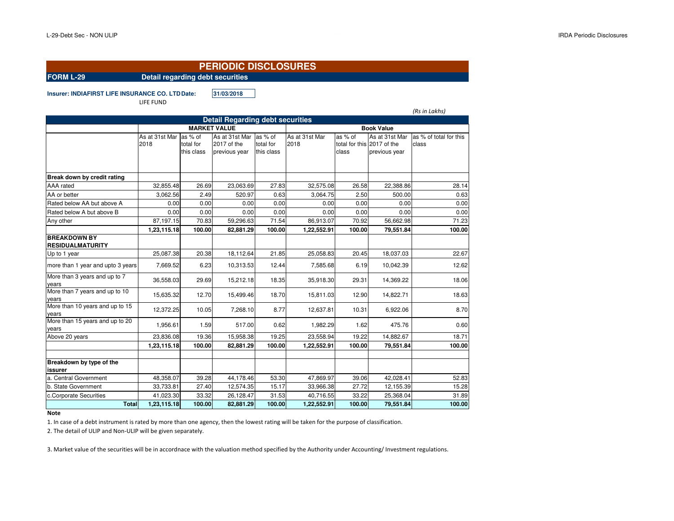## **PERIODIC DISCLOSURES**

**FORM L-29 Detail regarding debt securities**

**Insurer: INDIAFIRST LIFE INSURANCE CO. LTD.Date: 31/03/2018**

LIFE FUND

|                                                              |                |            |                     |            |                |                            |                | (Rs in Lakhs)          |  |  |  |
|--------------------------------------------------------------|----------------|------------|---------------------|------------|----------------|----------------------------|----------------|------------------------|--|--|--|
| <b>Detail Regarding debt securities</b><br><b>Book Value</b> |                |            |                     |            |                |                            |                |                        |  |  |  |
|                                                              |                |            | <b>MARKET VALUE</b> |            |                |                            |                |                        |  |  |  |
|                                                              | As at 31st Mar | as % of    | As at 31st Mar      | as % of    | As at 31st Mar | as % of                    | As at 31st Mar | as % of total for this |  |  |  |
|                                                              | 2018           | total for  | 2017 of the         | total for  | 2018           | total for this 2017 of the |                | class                  |  |  |  |
|                                                              |                | this class | previous year       | this class |                | class                      | previous year  |                        |  |  |  |
|                                                              |                |            |                     |            |                |                            |                |                        |  |  |  |
| Break down by credit rating                                  |                |            |                     |            |                |                            |                |                        |  |  |  |
| AAA rated                                                    | 32,855.48      | 26.69      | 23,063.69           | 27.83      | 32,575.08      | 26.58                      | 22,388.86      | 28.14                  |  |  |  |
| AA or better                                                 | 3,062.56       | 2.49       | 520.97              | 0.63       | 3,064.75       | 2.50                       | 500.00         | 0.63                   |  |  |  |
| Rated below AA but above A                                   | 0.00           | 0.00       | 0.00                | 0.00       | 0.00           | 0.00                       | 0.00           | 0.00                   |  |  |  |
| Rated below A but above B                                    | 0.00           | 0.00       | 0.00                | 0.00       | 0.00           | 0.00                       | 0.00           | 0.00                   |  |  |  |
| Any other                                                    | 87,197.15      | 70.83      | 59,296.63           | 71.54      | 86,913.07      | 70.92                      | 56,662.98      | 71.23                  |  |  |  |
|                                                              | 1,23,115.18    | 100.00     | 82,881.29           | 100.00     | 1,22,552.91    | 100.00                     | 79,551.84      | 100.00                 |  |  |  |
| <b>BREAKDOWN BY</b><br><b>RESIDUALMATURITY</b>               |                |            |                     |            |                |                            |                |                        |  |  |  |
| Up to 1 year                                                 | 25,087.38      | 20.38      | 18,112.64           | 21.85      | 25,058.83      | 20.45                      | 18,037.03      | 22.67                  |  |  |  |
| more than 1 year and upto 3 years                            | 7,669.52       | 6.23       | 10,313.53           | 12.44      | 7,585.68       | 6.19                       | 10,042.39      | 12.62                  |  |  |  |
| More than 3 years and up to 7<br>years                       | 36,558.03      | 29.69      | 15,212.18           | 18.35      | 35,918.30      | 29.31                      | 14,369.22      | 18.06                  |  |  |  |
| More than 7 years and up to 10<br>years                      | 15,635.32      | 12.70      | 15,499.46           | 18.70      | 15,811.03      | 12.90                      | 14,822.71      | 18.63                  |  |  |  |
| More than 10 years and up to 15<br>years                     | 12,372.25      | 10.05      | 7,268.10            | 8.77       | 12,637.81      | 10.31                      | 6,922.06       | 8.70                   |  |  |  |
| More than 15 years and up to 20<br>years                     | 1,956.61       | 1.59       | 517.00              | 0.62       | 1,982.29       | 1.62                       | 475.76         | 0.60                   |  |  |  |
| Above 20 years                                               | 23,836.08      | 19.36      | 15,958.38           | 19.25      | 23,558.94      | 19.22                      | 14,882.67      | 18.71                  |  |  |  |
|                                                              | 1,23,115.18    | 100.00     | 82,881.29           | 100.00     | 1,22,552.91    | 100.00                     | 79,551.84      | 100.00                 |  |  |  |
| Breakdown by type of the<br>lissurer                         |                |            |                     |            |                |                            |                |                        |  |  |  |
| a. Central Government                                        | 48.358.07      | 39.28      | 44,178.46           | 53.30      | 47,869.97      | 39.06                      | 42.028.41      | 52.83                  |  |  |  |
| b. State Government                                          | 33,733.81      | 27.40      | 12,574.35           | 15.17      | 33,966.38      | 27.72                      | 12,155.39      | 15.28                  |  |  |  |
| c.Corporate Securities                                       | 41,023.30      | 33.32      | 26,128.47           | 31.53      | 40,716.55      | 33.22                      | 25,368.04      | 31.89                  |  |  |  |
| <b>Total</b>                                                 | 1,23,115.18    | 100.00     | 82,881.29           | 100.00     | 1,22,552.91    | 100.00                     | 79,551.84      | 100.00                 |  |  |  |

#### **Note**

1. In case of a debt instrument is rated by more than one agency, then the lowest rating will be taken for the purpose of classification.

2. The detail of ULIP and Non-ULIP will be given separately.

3. Market value of the securities will be in accordnace with the valuation method specified by the Authority under Accounting/ Investment regulations.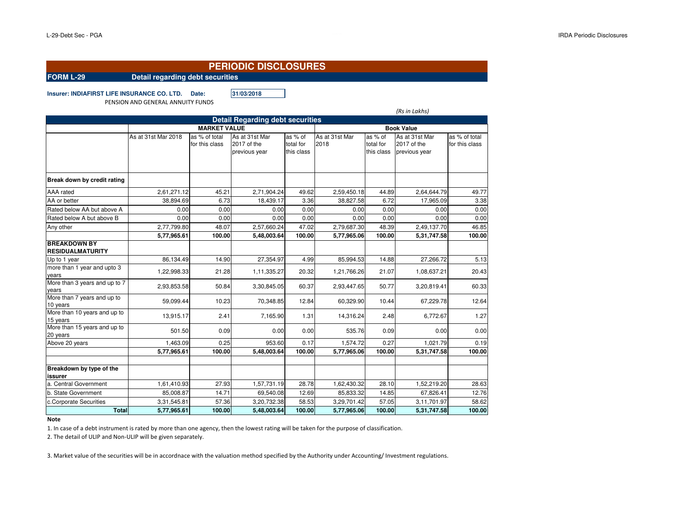# **PERIODIC DISCLOSURES**

**FORM L-29 Detail regarding debt securities**

**Insurer: INDIAFIRST LIFE INSURANCE CO. LTD. Date: 31/03/2018**

PENSION AND GENERAL ANNUITY FUNDS

|                                                |                     |                   |                                         |            |                |            | (Rs in Lakhs)  |                |
|------------------------------------------------|---------------------|-------------------|-----------------------------------------|------------|----------------|------------|----------------|----------------|
|                                                |                     |                   | <b>Detail Regarding debt securities</b> |            |                |            |                |                |
|                                                |                     | <b>Book Value</b> |                                         |            |                |            |                |                |
|                                                | As at 31st Mar 2018 | as % of total     | As at 31st Mar                          | as % of    | As at 31st Mar | as % of    | As at 31st Mar | as % of total  |
|                                                |                     | for this class    | 2017 of the                             | total for  | 2018           | total for  | 2017 of the    | for this class |
|                                                |                     |                   | previous year                           | this class |                | this class | previous year  |                |
| Break down by credit rating                    |                     |                   |                                         |            |                |            |                |                |
| AAA rated                                      | 2,61,271.12         | 45.21             | 2,71,904.24                             | 49.62      | 2,59,450.18    | 44.89      | 2,64,644.79    | 49.77          |
| AA or better                                   | 38,894.69           | 6.73              | 18,439.17                               | 3.36       | 38,827.58      | 6.72       | 17,965.09      | 3.38           |
| Rated below AA but above A                     | 0.00                | 0.00              | 0.00                                    | 0.00       | 0.00           | 0.00       | 0.00           | 0.00           |
| Rated below A but above B                      | 0.00                | 0.00              | 0.00                                    | 0.00       | 0.00           | 0.00       | 0.00           | 0.00           |
| Any other                                      | 2,77,799.80         | 48.07             | 2,57,660.24                             | 47.02      | 2,79,687.30    | 48.39      | 2,49,137.70    | 46.85          |
|                                                | 5,77,965.61         | 100.00            | 5,48,003.64                             | 100.00     | 5,77,965.06    | 100.00     | 5,31,747.58    | 100.00         |
| <b>BREAKDOWN BY</b><br><b>RESIDUALMATURITY</b> |                     |                   |                                         |            |                |            |                |                |
| Up to 1 year                                   | 86,134.49           | 14.90             | 27,354.97                               | 4.99       | 85,994.53      | 14.88      | 27,266.72      | 5.13           |
| more than 1 year and upto 3<br>years           | 1,22,998.33         | 21.28             | 1,11,335.27                             | 20.32      | 1,21,766.26    | 21.07      | 1,08,637.21    | 20.43          |
| More than 3 years and up to 7<br>years         | 2,93,853.58         | 50.84             | 3,30,845.05                             | 60.37      | 2,93,447.65    | 50.77      | 3,20,819.41    | 60.33          |
| More than 7 years and up to<br>10 years        | 59,099.44           | 10.23             | 70,348.85                               | 12.84      | 60,329.90      | 10.44      | 67,229.78      | 12.64          |
| More than 10 years and up to<br>15 years       | 13,915.17           | 2.41              | 7,165.90                                | 1.31       | 14,316.24      | 2.48       | 6,772.67       | 1.27           |
| More than 15 years and up to<br>20 years       | 501.50              | 0.09              | 0.00                                    | 0.00       | 535.76         | 0.09       | 0.00           | 0.00           |
| Above 20 years                                 | 1,463.09            | 0.25              | 953.60                                  | 0.17       | 1,574.72       | 0.27       | 1,021.79       | 0.19           |
|                                                | 5,77,965.61         | 100.00            | 5,48,003.64                             | 100.00     | 5,77,965.06    | 100.00     | 5,31,747.58    | 100.00         |
| Breakdown by type of the<br>lissurer           |                     |                   |                                         |            |                |            |                |                |
| a. Central Government                          | 1,61,410.93         | 27.93             | 1,57,731.19                             | 28.78      | 1,62,430.32    | 28.10      | 1.52.219.20    | 28.63          |
| b. State Government                            | 85,008.87           | 14.71             | 69,540.08                               | 12.69      | 85,833.32      | 14.85      | 67,826.41      | 12.76          |
| c.Corporate Securities                         | 3,31,545.81         | 57.36             | 3,20,732.38                             | 58.53      | 3,29,701.42    | 57.05      | 3,11,701.97    | 58.62          |
| <b>Total</b>                                   | 5,77,965.61         | 100.00            | 5,48,003.64                             | 100.00     | 5,77,965.06    | 100.00     | 5,31,747.58    | 100.00         |

### **Note**

1. In case of a debt instrument is rated by more than one agency, then the lowest rating will be taken for the purpose of classification.

2. The detail of ULIP and Non-ULIP will be given separately.

3. Market value of the securities will be in accordnace with the valuation method specified by the Authority under Accounting/ Investment regulations.